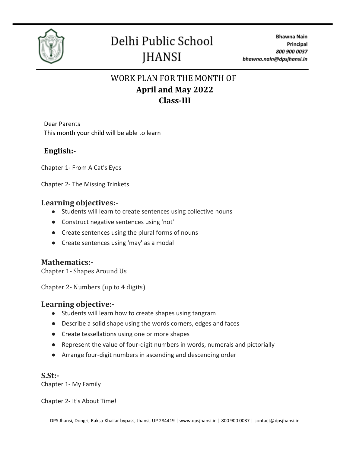

### WORK PLAN FOR THE MONTH OF **April and May 2022 Class-III**

Dear Parents This month your child will be able to learn

### **English:-**

Chapter 1- From A Cat's Eyes

Chapter 2- The Missing Trinkets

#### **Learning objectives:-**

- Students will learn to create sentences using collective nouns
- Construct negative sentences using 'not'
- Create sentences using the plural forms of nouns
- Create sentences using 'may' as a modal

#### **Mathematics:-**

Chapter 1- Shapes Around Us

Chapter 2- Numbers (up to 4 digits)

#### **Learning objective:-**

- Students will learn how to create shapes using tangram
- Describe a solid shape using the words corners, edges and faces
- Create tessellations using one or more shapes
- Represent the value of four-digit numbers in words, numerals and pictorially
- Arrange four-digit numbers in ascending and descending order

#### **S.St:-**

Chapter 1- My Family

Chapter 2- It's About Time!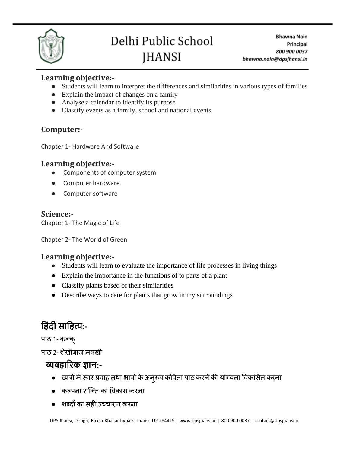

#### **Learning objective:-**

- Students will learn to interpret the differences and similarities in various types of families
- Explain the impact of changes on a family
- Analyse a calendar to identify its purpose
- Classify events as a family, school and national events

### **Computer:-**

Chapter 1- Hardware And Software

#### **Learning objective:-**

- Components of computer system
- Computer hardware
- Computer software

#### **Science:-**

Chapter 1- The Magic of Life

Chapter 2- The World of Green

#### **Learning objective:-**

- Students will learn to evaluate the importance of life processes in living things
- Explain the importance in the functions of to parts of a plant
- Classify plants based of their similarities
- Describe ways to care for plants that grow in my surroundings

## **ह िंदी साह त्य:-**

पाठ 1- कक्कू

पाठ 2- शेखीबाज मक्खी

### **व्यव ारिक ज्ञान:-**

- छात्रों मेंस्वर प्रवाह तथा भावों केअनुरूप कववता पाठ करनेकी योग्यता ववकसित करना
- $\bullet$  कल्पना शक्ति का विकास करना
- शब्दों का िही उच्चारण करना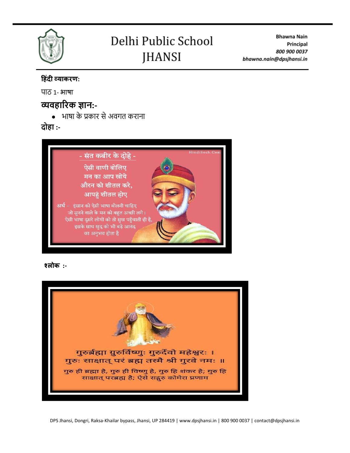

**Bhawna Nain** Principal 800 900 0037 bhawna.nain@dpsjhansi.in

#### **ह िंदी व्याकरण:**

पाठ 1- भाषा

### **व्यव ारिक ज्ञान:-**

● भाषा के प्रकार सेअवगत कराना

**दो ा :-**



 **श्लोक :-**

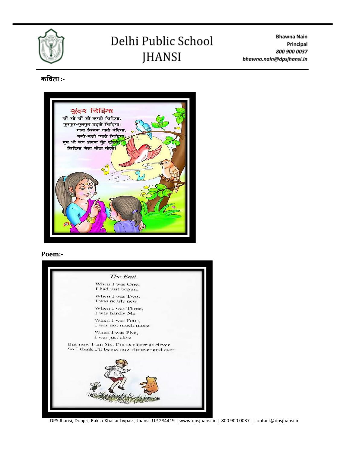

**Bhawna Nain** Principal 800 900 0037 bhawna.nain@dpsjhansi.in

#### **कविता :-**



#### **Poem:-**



DPS Jhansi, Dongri, Raksa-Khailar bypass, Jhansi, UP 284419 | www.dpsjhansi.in | 800 900 0037 | contact@dpsjhansi.in